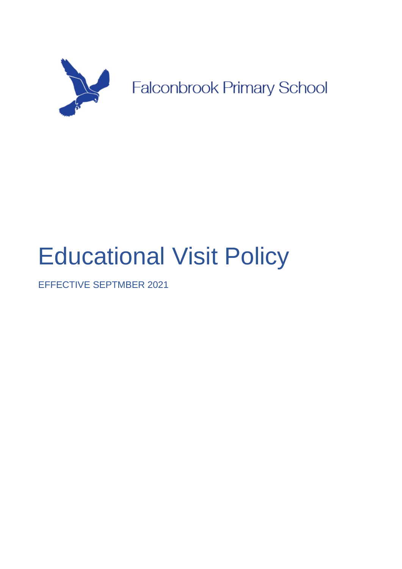

# Educational Visit Policy

EFFECTIVE SEPTMBER 2021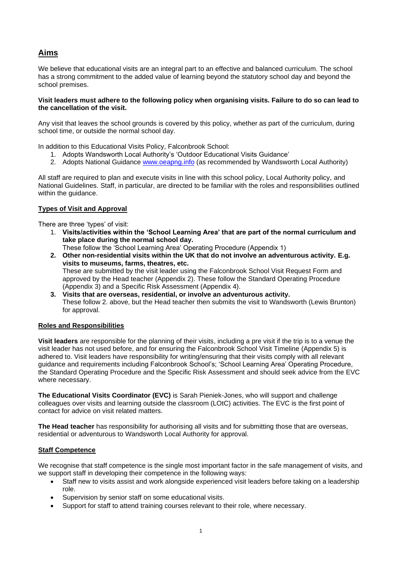# **Aims**

We believe that educational visits are an integral part to an effective and balanced curriculum. The school has a strong commitment to the added value of learning beyond the statutory school day and beyond the school premises.

#### **Visit leaders must adhere to the following policy when organising visits. Failure to do so can lead to the cancellation of the visit.**

Any visit that leaves the school grounds is covered by this policy, whether as part of the curriculum, during school time, or outside the normal school day.

In addition to this Educational Visits Policy, Falconbrook School:

- 1. Adopts Wandsworth Local Authority's 'Outdoor Educational Visits Guidance'
- 2. Adopts National Guidance [www.oeapng.info](http://www.oeapng.info/) (as recommended by Wandsworth Local Authority)

All staff are required to plan and execute visits in line with this school policy, Local Authority policy, and National Guidelines. Staff, in particular, are directed to be familiar with the roles and responsibilities outlined within the quidance.

# **Types of Visit and Approval**

There are three 'types' of visit:

- 1. **Visits/activities within the 'School Learning Area' that are part of the normal curriculum and take place during the normal school day.**
	- These follow the 'School Learning Area' Operating Procedure (Appendix 1)
- **2. Other non-residential visits within the UK that do not involve an adventurous activity. E.g. visits to museums, farms, theatres, etc.** These are submitted by the visit leader using the Falconbrook School Visit Request Form and approved by the Head teacher (Appendix 2). These follow the Standard Operating Procedure (Appendix 3) and a Specific Risk Assessment (Appendix 4).
- **3. Visits that are overseas, residential, or involve an adventurous activity.** These follow 2. above, but the Head teacher then submits the visit to Wandsworth (Lewis Brunton) for approval.

# **Roles and Responsibilities**

**Visit leaders** are responsible for the planning of their visits, including a pre visit if the trip is to a venue the visit leader has not used before, and for ensuring the Falconbrook School Visit Timeline (Appendix 5) is adhered to. Visit leaders have responsibility for writing/ensuring that their visits comply with all relevant guidance and requirements including Falconbrook School's; 'School Learning Area' Operating Procedure, the Standard Operating Procedure and the Specific Risk Assessment and should seek advice from the EVC where necessary.

**The Educational Visits Coordinator (EVC)** is Sarah Pieniek-Jones, who will support and challenge colleagues over visits and learning outside the classroom (LOtC) activities. The EVC is the first point of contact for advice on visit related matters.

**The Head teacher** has responsibility for authorising all visits and for submitting those that are overseas, residential or adventurous to Wandsworth Local Authority for approval.

# **Staff Competence**

We recognise that staff competence is the single most important factor in the safe management of visits, and we support staff in developing their competence in the following ways:

- Staff new to visits assist and work alongside experienced visit leaders before taking on a leadership role.
- Supervision by senior staff on some educational visits.
- Support for staff to attend training courses relevant to their role, where necessary.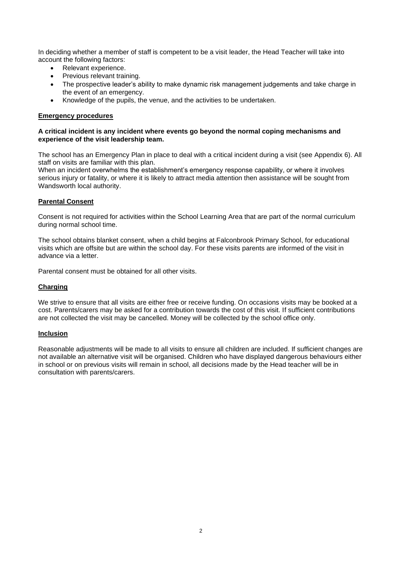In deciding whether a member of staff is competent to be a visit leader, the Head Teacher will take into account the following factors:

- Relevant experience.
- Previous relevant training.
- The prospective leader's ability to make dynamic risk management judgements and take charge in the event of an emergency.
- Knowledge of the pupils, the venue, and the activities to be undertaken.

#### **Emergency procedures**

#### **A critical incident is any incident where events go beyond the normal coping mechanisms and experience of the visit leadership team.**

The school has an Emergency Plan in place to deal with a critical incident during a visit (see Appendix 6). All staff on visits are familiar with this plan.

When an incident overwhelms the establishment's emergency response capability, or where it involves serious injury or fatality, or where it is likely to attract media attention then assistance will be sought from Wandsworth local authority.

#### **Parental Consent**

Consent is not required for activities within the School Learning Area that are part of the normal curriculum during normal school time.

The school obtains blanket consent, when a child begins at Falconbrook Primary School, for educational visits which are offsite but are within the school day. For these visits parents are informed of the visit in advance via a letter.

Parental consent must be obtained for all other visits.

### **Charging**

We strive to ensure that all visits are either free or receive funding. On occasions visits may be booked at a cost. Parents/carers may be asked for a contribution towards the cost of this visit. If sufficient contributions are not collected the visit may be cancelled. Money will be collected by the school office only.

#### **Inclusion**

Reasonable adjustments will be made to all visits to ensure all children are included. If sufficient changes are not available an alternative visit will be organised. Children who have displayed dangerous behaviours either in school or on previous visits will remain in school, all decisions made by the Head teacher will be in consultation with parents/carers.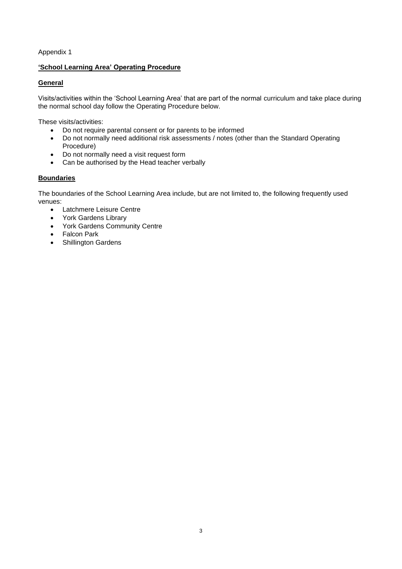# **'School Learning Area' Operating Procedure**

# **General**

Visits/activities within the 'School Learning Area' that are part of the normal curriculum and take place during the normal school day follow the Operating Procedure below.

These visits/activities:

- Do not require parental consent or for parents to be informed
- Do not normally need additional risk assessments / notes (other than the Standard Operating Procedure)
- Do not normally need a visit request form
- Can be authorised by the Head teacher verbally

# **Boundaries**

The boundaries of the School Learning Area include, but are not limited to, the following frequently used venues:

- Latchmere Leisure Centre
- York Gardens Library
- York Gardens Community Centre
- Falcon Park
- Shillington Gardens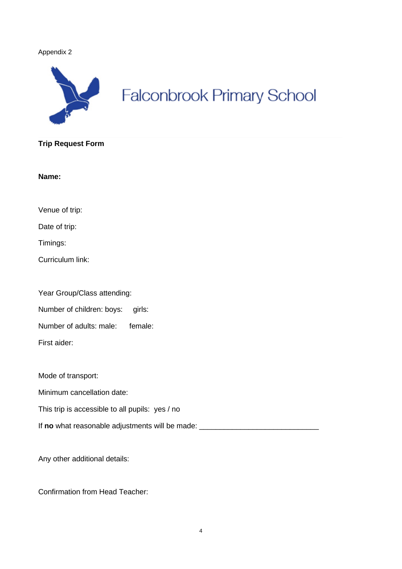

# **Falconbrook Primary School**

# **Trip Request Form**

**Name:**

Venue of trip:

Date of trip:

Timings:

Curriculum link:

| Year Group/Class attending: |         |
|-----------------------------|---------|
| Number of children: boys:   | airls:  |
| Number of adults: male:     | female: |

First aider:

Mode of transport:

Minimum cancellation date:

This trip is accessible to all pupils: yes / no

If **no** what reasonable adjustments will be made:

Any other additional details:

Confirmation from Head Teacher: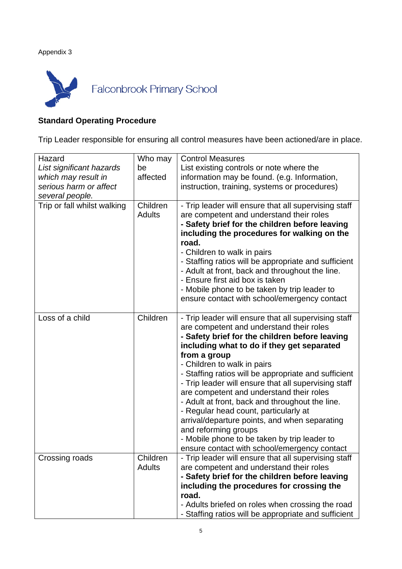

# **Standard Operating Procedure**

Trip Leader responsible for ensuring all control measures have been actioned/are in place.

| Hazard                      | Who may                   | <b>Control Measures</b>                                                                                                                                                                                                                                                                                                                                                                                                                                                                                                                                                                                                                                                          |
|-----------------------------|---------------------------|----------------------------------------------------------------------------------------------------------------------------------------------------------------------------------------------------------------------------------------------------------------------------------------------------------------------------------------------------------------------------------------------------------------------------------------------------------------------------------------------------------------------------------------------------------------------------------------------------------------------------------------------------------------------------------|
| List significant hazards    | be                        | List existing controls or note where the                                                                                                                                                                                                                                                                                                                                                                                                                                                                                                                                                                                                                                         |
| which may result in         | affected                  | information may be found. (e.g. Information,                                                                                                                                                                                                                                                                                                                                                                                                                                                                                                                                                                                                                                     |
| serious harm or affect      |                           | instruction, training, systems or procedures)                                                                                                                                                                                                                                                                                                                                                                                                                                                                                                                                                                                                                                    |
| several people.             |                           |                                                                                                                                                                                                                                                                                                                                                                                                                                                                                                                                                                                                                                                                                  |
| Trip or fall whilst walking | Children<br><b>Adults</b> | - Trip leader will ensure that all supervising staff<br>are competent and understand their roles<br>- Safety brief for the children before leaving<br>including the procedures for walking on the<br>road.<br>- Children to walk in pairs<br>- Staffing ratios will be appropriate and sufficient<br>- Adult at front, back and throughout the line.<br>- Ensure first aid box is taken<br>- Mobile phone to be taken by trip leader to<br>ensure contact with school/emergency contact                                                                                                                                                                                          |
| Loss of a child             | Children                  | - Trip leader will ensure that all supervising staff<br>are competent and understand their roles<br>- Safety brief for the children before leaving<br>including what to do if they get separated<br>from a group<br>- Children to walk in pairs<br>- Staffing ratios will be appropriate and sufficient<br>- Trip leader will ensure that all supervising staff<br>are competent and understand their roles<br>- Adult at front, back and throughout the line.<br>- Regular head count, particularly at<br>arrival/departure points, and when separating<br>and reforming groups<br>- Mobile phone to be taken by trip leader to<br>ensure contact with school/emergency contact |
| Crossing roads              | Children<br><b>Adults</b> | - Trip leader will ensure that all supervising staff<br>are competent and understand their roles<br>- Safety brief for the children before leaving<br>including the procedures for crossing the<br>road.<br>- Adults briefed on roles when crossing the road<br>- Staffing ratios will be appropriate and sufficient                                                                                                                                                                                                                                                                                                                                                             |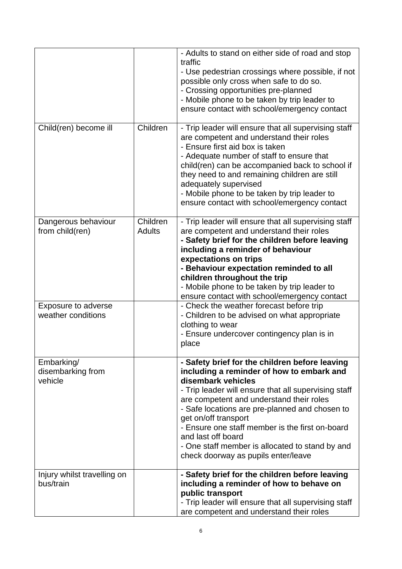|                                            |                           | - Adults to stand on either side of road and stop<br>traffic<br>- Use pedestrian crossings where possible, if not<br>possible only cross when safe to do so.<br>- Crossing opportunities pre-planned<br>- Mobile phone to be taken by trip leader to<br>ensure contact with school/emergency contact                                                                                                                                                               |
|--------------------------------------------|---------------------------|--------------------------------------------------------------------------------------------------------------------------------------------------------------------------------------------------------------------------------------------------------------------------------------------------------------------------------------------------------------------------------------------------------------------------------------------------------------------|
| Child(ren) become ill                      | Children                  | - Trip leader will ensure that all supervising staff<br>are competent and understand their roles<br>- Ensure first aid box is taken<br>- Adequate number of staff to ensure that<br>child(ren) can be accompanied back to school if<br>they need to and remaining children are still<br>adequately supervised<br>- Mobile phone to be taken by trip leader to<br>ensure contact with school/emergency contact                                                      |
| Dangerous behaviour<br>from child(ren)     | Children<br><b>Adults</b> | - Trip leader will ensure that all supervising staff<br>are competent and understand their roles<br>- Safety brief for the children before leaving<br>including a reminder of behaviour<br>expectations on trips<br>- Behaviour expectation reminded to all<br>children throughout the trip<br>- Mobile phone to be taken by trip leader to<br>ensure contact with school/emergency contact                                                                        |
| Exposure to adverse<br>weather conditions  |                           | - Check the weather forecast before trip<br>- Children to be advised on what appropriate<br>clothing to wear<br>- Ensure undercover contingency plan is in<br>place                                                                                                                                                                                                                                                                                                |
| Embarking/<br>disembarking from<br>vehicle |                           | - Safety brief for the children before leaving<br>including a reminder of how to embark and<br>disembark vehicles<br>- Trip leader will ensure that all supervising staff<br>are competent and understand their roles<br>- Safe locations are pre-planned and chosen to<br>get on/off transport<br>- Ensure one staff member is the first on-board<br>and last off board<br>- One staff member is allocated to stand by and<br>check doorway as pupils enter/leave |
| Injury whilst travelling on<br>bus/train   |                           | - Safety brief for the children before leaving<br>including a reminder of how to behave on<br>public transport<br>- Trip leader will ensure that all supervising staff<br>are competent and understand their roles                                                                                                                                                                                                                                                 |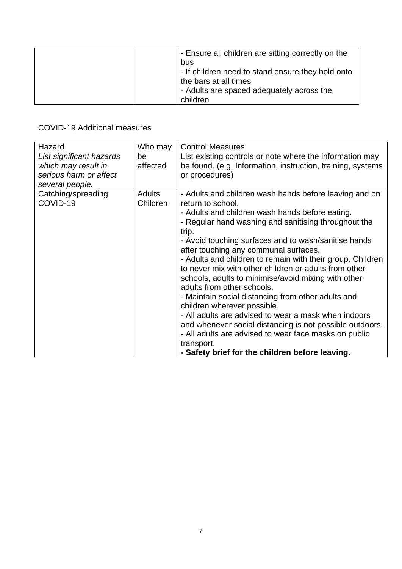|  | - Ensure all children are sitting correctly on the<br>bus<br>- If children need to stand ensure they hold onto<br>the bars at all times<br>- Adults are spaced adequately across the<br>children |
|--|--------------------------------------------------------------------------------------------------------------------------------------------------------------------------------------------------|
|--|--------------------------------------------------------------------------------------------------------------------------------------------------------------------------------------------------|

COVID-19 Additional measures

| Hazard                         | Who may                   | <b>Control Measures</b>                                                                       |
|--------------------------------|---------------------------|-----------------------------------------------------------------------------------------------|
| List significant hazards       | be                        | List existing controls or note where the information may                                      |
| which may result in            | affected                  | be found. (e.g. Information, instruction, training, systems                                   |
| serious harm or affect         |                           | or procedures)                                                                                |
| several people.                |                           |                                                                                               |
| Catching/spreading<br>COVID-19 | <b>Adults</b><br>Children | - Adults and children wash hands before leaving and on<br>return to school.                   |
|                                |                           | - Adults and children wash hands before eating.                                               |
|                                |                           | - Regular hand washing and sanitising throughout the<br>trip.                                 |
|                                |                           | - Avoid touching surfaces and to wash/sanitise hands<br>after touching any communal surfaces. |
|                                |                           | - Adults and children to remain with their group. Children                                    |
|                                |                           | to never mix with other children or adults from other                                         |
|                                |                           | schools, adults to minimise/avoid mixing with other<br>adults from other schools.             |
|                                |                           | - Maintain social distancing from other adults and                                            |
|                                |                           | children wherever possible.                                                                   |
|                                |                           | - All adults are advised to wear a mask when indoors                                          |
|                                |                           | and whenever social distancing is not possible outdoors.                                      |
|                                |                           | - All adults are advised to wear face masks on public                                         |
|                                |                           | transport.                                                                                    |
|                                |                           | - Safety brief for the children before leaving.                                               |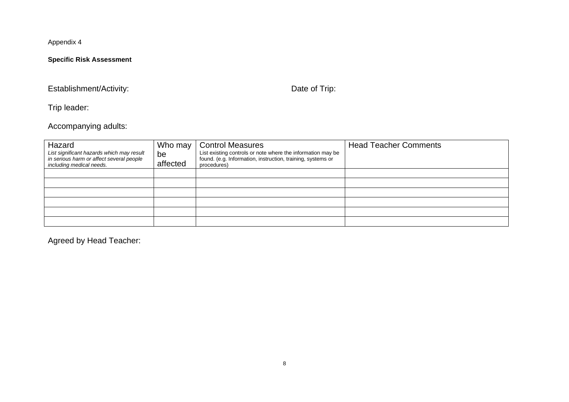# **Specific Risk Assessment**

# Establishment/Activity: Date of Trip:

Trip leader:

Accompanying adults:

| Hazard<br>List significant hazards which may result                  | Who may<br>be | <b>Control Measures</b><br>List existing controls or note where the information may be | <b>Head Teacher Comments</b> |
|----------------------------------------------------------------------|---------------|----------------------------------------------------------------------------------------|------------------------------|
| in serious harm or affect several people<br>including medical needs. | affected      | found. (e.g. Information, instruction, training, systems or<br>procedures)             |                              |
|                                                                      |               |                                                                                        |                              |
|                                                                      |               |                                                                                        |                              |
|                                                                      |               |                                                                                        |                              |
|                                                                      |               |                                                                                        |                              |
|                                                                      |               |                                                                                        |                              |
|                                                                      |               |                                                                                        |                              |

Agreed by Head Teacher: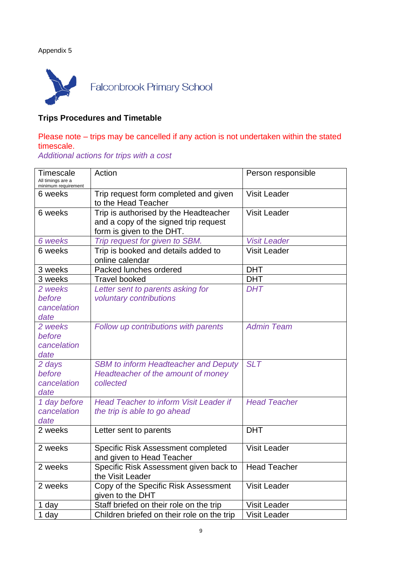

# **Trips Procedures and Timetable**

# Please note – trips may be cancelled if any action is not undertaken within the stated timescale.

*Additional actions for trips with a cost*

| <b>Timescale</b><br>All timings are a<br>minimum requirement | Action                                                                                                      | Person responsible  |
|--------------------------------------------------------------|-------------------------------------------------------------------------------------------------------------|---------------------|
| 6 weeks                                                      | Trip request form completed and given<br>to the Head Teacher                                                | <b>Visit Leader</b> |
| 6 weeks                                                      | Trip is authorised by the Headteacher<br>and a copy of the signed trip request<br>form is given to the DHT. | <b>Visit Leader</b> |
| 6 weeks                                                      | Trip request for given to SBM.                                                                              | <b>Visit Leader</b> |
| 6 weeks                                                      | Trip is booked and details added to<br>online calendar                                                      | <b>Visit Leader</b> |
| 3 weeks                                                      | Packed lunches ordered                                                                                      | <b>DHT</b>          |
| 3 weeks                                                      | <b>Travel booked</b>                                                                                        | <b>DHT</b>          |
| 2 weeks                                                      | Letter sent to parents asking for                                                                           | <b>DHT</b>          |
| before<br>cancelation<br>date                                | voluntary contributions                                                                                     |                     |
| 2 weeks<br>before<br>cancelation<br>date                     | Follow up contributions with parents                                                                        | <b>Admin Team</b>   |
| 2 days<br>before<br>cancelation<br>date                      | <b>SBM to inform Headteacher and Deputy</b><br>Headteacher of the amount of money<br>collected              | <b>SLT</b>          |
| 1 day before<br>cancelation<br>date                          | <b>Head Teacher to inform Visit Leader if</b><br>the trip is able to go ahead                               | <b>Head Teacher</b> |
| 2 weeks                                                      | Letter sent to parents                                                                                      | <b>DHT</b>          |
| 2 weeks                                                      | Specific Risk Assessment completed<br>and given to Head Teacher                                             | <b>Visit Leader</b> |
| 2 weeks                                                      | Specific Risk Assessment given back to<br>the Visit Leader                                                  | <b>Head Teacher</b> |
| 2 weeks                                                      | Copy of the Specific Risk Assessment<br>given to the DHT                                                    | <b>Visit Leader</b> |
| 1 day                                                        | Staff briefed on their role on the trip                                                                     | <b>Visit Leader</b> |
| 1 day                                                        | Children briefed on their role on the trip                                                                  | <b>Visit Leader</b> |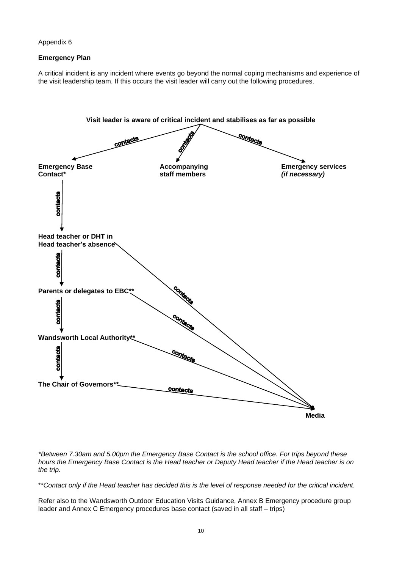### **Emergency Plan**

A critical incident is any incident where events go beyond the normal coping mechanisms and experience of the visit leadership team. If this occurs the visit leader will carry out the following procedures.



*\*Between 7.30am and 5.00pm the Emergency Base Contact is the school office. For trips beyond these hours the Emergency Base Contact is the Head teacher or Deputy Head teacher if the Head teacher is on the trip.*

\*\**Contact only if the Head teacher has decided this is the level of response needed for the critical incident.*

Refer also to the Wandsworth Outdoor Education Visits Guidance, Annex B Emergency procedure group leader and Annex C Emergency procedures base contact (saved in all staff – trips)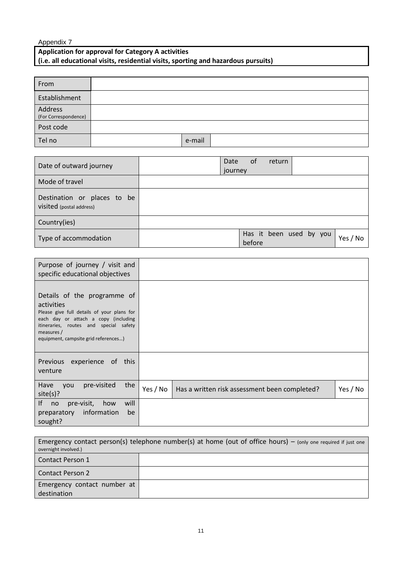# **Application for approval for Category A activities (i.e. all educational visits, residential visits, sporting and hazardous pursuits)**

| From                            |        |  |
|---------------------------------|--------|--|
| Establishment                   |        |  |
| Address<br>(For Correspondence) |        |  |
| Post code                       |        |  |
| Tel no                          | e-mail |  |

| Date of outward journey                                 | of<br>Date<br>return<br>journey               |
|---------------------------------------------------------|-----------------------------------------------|
| Mode of travel                                          |                                               |
| Destination or places to be<br>visited (postal address) |                                               |
| Country(ies)                                            |                                               |
| Type of accommodation                                   | Has it been used by you<br>Yes / No<br>before |

| Purpose of journey / visit and<br>specific educational objectives                                                                                                                                                               |          |                                               |          |
|---------------------------------------------------------------------------------------------------------------------------------------------------------------------------------------------------------------------------------|----------|-----------------------------------------------|----------|
| Details of the programme of<br>activities<br>Please give full details of your plans for<br>each day or attach a copy (including<br>itineraries, routes and special safety<br>measures /<br>equipment, campsite grid references) |          |                                               |          |
| experience of this<br><b>Previous</b><br>venture                                                                                                                                                                                |          |                                               |          |
| pre-visited<br>the<br>Have<br>you<br>site(s)?                                                                                                                                                                                   | Yes / No | Has a written risk assessment been completed? | Yes / No |
| If<br>will<br>pre-visit,<br>how<br>no<br>information<br>preparatory<br>be<br>sought?                                                                                                                                            |          |                                               |          |

| Emergency contact person(s) telephone number(s) at home (out of office hours) – (only one required if just one<br>overnight involved.) |  |  |  |
|----------------------------------------------------------------------------------------------------------------------------------------|--|--|--|
| l Contact Person 1                                                                                                                     |  |  |  |
| Contact Person 2                                                                                                                       |  |  |  |
| Emergency contact number at                                                                                                            |  |  |  |
| destination                                                                                                                            |  |  |  |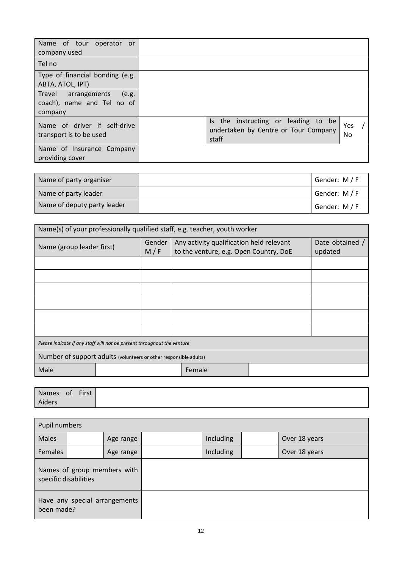| Name of tour operator or<br>company used                              |                                                                                      |           |
|-----------------------------------------------------------------------|--------------------------------------------------------------------------------------|-----------|
| Tel no                                                                |                                                                                      |           |
| Type of financial bonding (e.g.<br>ABTA, ATOL, IPT)                   |                                                                                      |           |
| Travel arrangements<br>(e.g.<br>coach), name and Tel no of<br>company |                                                                                      |           |
| Name of driver if self-drive<br>transport is to be used               | Is the instructing or leading to be<br>undertaken by Centre or Tour Company<br>staff | Yes<br>No |
| Name of Insurance Company<br>providing cover                          |                                                                                      |           |

| Name of party organiser     | Gender: M/F |
|-----------------------------|-------------|
| Name of party leader        | Gender: M/F |
| Name of deputy party leader | Gender: M/F |

| Name(s) of your professionally qualified staff, e.g. teacher, youth worker |  |  |                                                                                    |                            |  |  |
|----------------------------------------------------------------------------|--|--|------------------------------------------------------------------------------------|----------------------------|--|--|
| Gender<br>Name (group leader first)<br>M/F                                 |  |  | Any activity qualification held relevant<br>to the venture, e.g. Open Country, DoE | Date obtained /<br>updated |  |  |
|                                                                            |  |  |                                                                                    |                            |  |  |
|                                                                            |  |  |                                                                                    |                            |  |  |
|                                                                            |  |  |                                                                                    |                            |  |  |
|                                                                            |  |  |                                                                                    |                            |  |  |
|                                                                            |  |  |                                                                                    |                            |  |  |
|                                                                            |  |  |                                                                                    |                            |  |  |
| Please indicate if any staff will not be present throughout the venture    |  |  |                                                                                    |                            |  |  |
| Number of support adults (volunteers or other responsible adults)          |  |  |                                                                                    |                            |  |  |
| Male                                                                       |  |  | Female                                                                             |                            |  |  |
|                                                                            |  |  |                                                                                    |                            |  |  |

| Names of First |  |
|----------------|--|
| Aiders         |  |

| Pupil numbers                               |                             |           |  |           |  |               |  |  |
|---------------------------------------------|-----------------------------|-----------|--|-----------|--|---------------|--|--|
| <b>Males</b>                                |                             | Age range |  | Including |  | Over 18 years |  |  |
| Females                                     |                             | Age range |  | Including |  | Over 18 years |  |  |
| specific disabilities                       | Names of group members with |           |  |           |  |               |  |  |
| Have any special arrangements<br>been made? |                             |           |  |           |  |               |  |  |